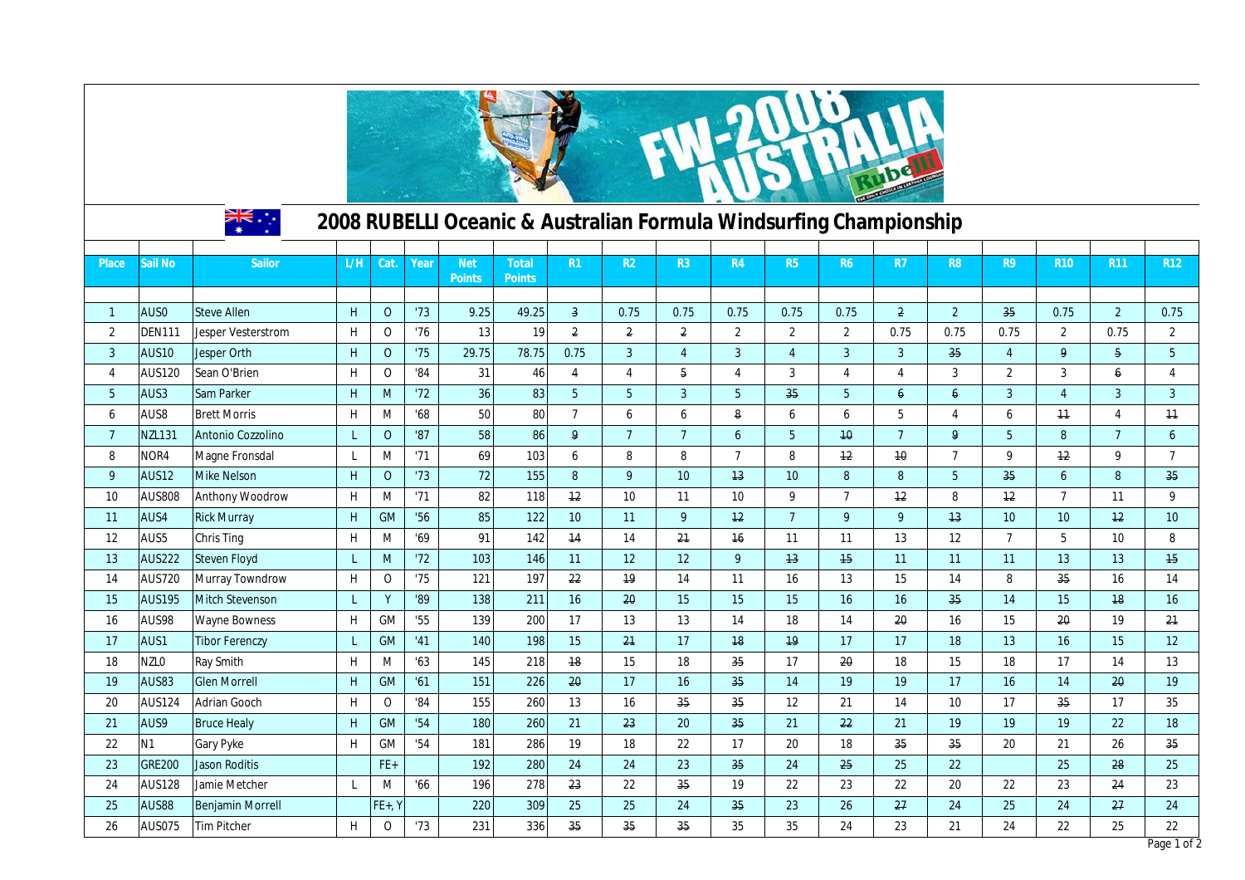| ्रैं≭<br>2008 RUBELLI Oceanic & Australian Formula Windsurfing Championship |                  |                           |     |              |      |                             |                               |                         |                  |                         |                 |                |                  |                 |                     |                  |                |                |                  |
|-----------------------------------------------------------------------------|------------------|---------------------------|-----|--------------|------|-----------------------------|-------------------------------|-------------------------|------------------|-------------------------|-----------------|----------------|------------------|-----------------|---------------------|------------------|----------------|----------------|------------------|
| Place                                                                       | Sail No          | Sailor                    | L/H | Cat.         | Year | <b>Net</b><br><b>Points</b> | <b>Total</b><br><b>Points</b> | R1                      | R <sub>2</sub>   | R3                      | R4              | R5             | <b>R6</b>        | R7              | R <sub>8</sub>      | R <sub>9</sub>   | <b>R10</b>     | <b>R11</b>     | R <sub>12</sub>  |
| $\mathbf{1}$                                                                | AUS0             | <b>Steve Allen</b>        | H   | $\mathbf 0$  | '73  | 9.25                        | 49.25                         | $\overline{\mathbf{3}}$ | 0.75             | 0.75                    | 0.75            | 0.75           | 0.75             | $\overline{a}$  | $\sqrt{2}$          | 35               | 0.75           | $2^{\circ}$    | 0.75             |
| $\overline{2}$                                                              | <b>DEN111</b>    | <b>Jesper Vesterstrom</b> | H   | $\mathbf 0$  | '76  | 13                          | 19                            | $\overline{2}$          | $\overline{2}$   | $\overline{\mathbf{2}}$ | $\overline{2}$  | $\overline{2}$ | $\overline{2}$   | 0.75            | 0.75                | 0.75             | $\overline{2}$ | 0.75           | $\overline{2}$   |
| $\overline{3}$                                                              | AUS10            | Jesper Orth               | H   | $\mathbf{O}$ | '75  | 29.75                       | 78.75                         | 0.75                    | $\overline{3}$   | $\overline{4}$          | $\overline{3}$  | $\overline{4}$ | $\overline{3}$   | $\mathbf{3}$    | 35                  | $\overline{4}$   | 9              | $\overline{5}$ | 5                |
| $\overline{4}$                                                              | <b>AUS120</b>    | Sean O'Brien              | H   | $\mathsf{O}$ | '84  | 31                          | 46                            | $\overline{4}$          | $\overline{4}$   | 5                       | $\overline{4}$  | 3              | $\overline{4}$   | 4               | $\mathbf{3}$        | $\overline{2}$   | 3              | 6              | 4                |
| $5\phantom{.0}$                                                             | AUS3             | Sam Parker                | H   | M            | '72  | 36                          | 83                            | 5 <sup>1</sup>          | $5\phantom{.0}$  | $\overline{3}$          | 5 <sup>5</sup>  | 35             | $5\phantom{.0}$  | $\epsilon$      | $\ddot{\mathbf{6}}$ | $\overline{3}$   | $\overline{4}$ | $\overline{3}$ | $\overline{3}$   |
| 6                                                                           | AUS8             | <b>Brett Morris</b>       | H   | M            | 68   | 50                          | 80                            | $\overline{7}$          | $\boldsymbol{6}$ | 6                       | 8               | 6              | $\boldsymbol{6}$ | 5               | $\overline{4}$      | $\boldsymbol{6}$ | 11             | $\overline{4}$ | 11               |
| $\overline{7}$                                                              | <b>NZL131</b>    | Antonio Cozzolino         | L   | $\mathbf{O}$ | '87  | 58                          | 86                            | 9                       | $\overline{7}$   | $7\overline{ }$         | $6\overline{6}$ | 5              | 10               | 7 <sup>1</sup>  | 9                   | 5 <sup>5</sup>   | 8              | $\overline{7}$ | 6                |
| 8                                                                           | NOR4             | Magne Fronsdal            | L   | M            | '71  | 69                          | 103                           | 6                       | 8                | 8                       | $\overline{7}$  | 8              | 12 <sup>2</sup>  | 10              | $\overline{7}$      | 9                | 12             | 9              | $\overline{7}$   |
| 9                                                                           | <b>AUS12</b>     | <b>Mike Nelson</b>        | H   | $\mathbf 0$  | '73  | $72\,$                      | 155                           | 8                       | 9                | 10 <sup>10</sup>        | 13              | 10             | 8                | 8               | $5\phantom{.0}$     | 35               | 6              | 8              | 35               |
| 10                                                                          | <b>AUS808</b>    | <b>Anthony Woodrow</b>    | H   | M            | '71  | 82                          | 118                           | 12 <sup>2</sup>         | 10               | 11                      | 10              | 9              | $\overline{7}$   | 12              | 8                   | 12               | $\overline{7}$ | 11             | 9                |
| 11                                                                          | AUS4             | <b>Rick Murray</b>        | H   | <b>GM</b>    | '56  | 85                          | 122                           | 10 <sup>°</sup>         | 11               | 9                       | 12              | $\overline{7}$ | 9                | 9               | 13                  | 10               | 10             | 12             | 10 <sup>°</sup>  |
| 12                                                                          | AUS5             | <b>Chris Ting</b>         | H   | M            | '69  | 91                          | 142                           | 14                      | 14               | 21                      | 16              | 11             | 11               | 13              | 12                  | $\overline{7}$   | 5              | 10             | 8                |
| 13                                                                          | <b>AUS222</b>    | <b>Steven Floyd</b>       | L   | M            | '72  | 103                         | 146                           | 11                      | 12               | 12                      | 9               | 13             | 15               | 11              | 11                  | 11               | 13             | 13             | 15 <sub>15</sub> |
| 14                                                                          | <b>AUS720</b>    | <b>Murray Towndrow</b>    | H   | $\mathsf O$  | '75  | 121                         | 197                           | 22                      | 19               | 14                      | 11              | 16             | 13               | 15              | 14                  | 8                | 35             | 16             | 14               |
| 15                                                                          | <b>AUS195</b>    | <b>Mitch Stevenson</b>    | L   | Y            | '89  | 138                         | 211                           | 16                      | 20               | 15                      | 15              | 15             | 16               | 16              | 35                  | 14               | 15             | 18             | 16               |
| 16                                                                          | AUS98            | <b>Wayne Bowness</b>      | H   | GM           | '55  | 139                         | 200                           | 17                      | 13               | 13                      | 14              | 18             | 14               | 20              | 16                  | 15               | 20             | 19             | 21               |
| 17                                                                          | AUS1             | <b>Tibor Ferenczy</b>     | L   | <b>GM</b>    | '41  | 140                         | 198                           | 15                      | 21               | 17                      | 18              | 19             | 17               | 17              | 18                  | 13               | 16             | 15             | 12               |
| 18                                                                          | NZL <sub>0</sub> | Ray Smith                 | H   | M            | '63  | 145                         | 218                           | 18                      | 15               | 18                      | 35              | 17             | 20               | 18              | 15                  | 18               | 17             | 14             | 13               |
| 19                                                                          | <b>AUS83</b>     | <b>Glen Morrell</b>       | H   | <b>GM</b>    | '61  | 151                         | 226                           | 20                      | 17               | 16                      | 35              | 14             | 19               | 19              | 17                  | 16               | 14             | 20             | 19               |
| 20                                                                          | <b>AUS124</b>    | Adrian Gooch              | H   | $\mathbf 0$  | '84  | 155                         | 260                           | 13                      | 16               | 35                      | 35              | 12             | 21               | 14              | 10                  | 17               | 35             | 17             | 35               |
| 21                                                                          | AUS9             | <b>Bruce Healy</b>        | H   | GM           | '54  | 180                         | 260                           | 21                      | 23               | 20                      | 35              | 21             | 22               | 21              | 19                  | 19               | 19             | 22             | 18               |
| 22                                                                          | <b>N1</b>        | Gary Pyke                 | H   | GM           | '54  | 181                         | 286                           | 19                      | 18               | 22                      | 17              | 20             | 18               | 35 <sub>2</sub> | 35                  | 20               | 21             | 26             | 35               |
| 23                                                                          | <b>GRE200</b>    | <b>Jason Roditis</b>      |     | FE+          |      | 192                         | 280                           | 24                      | 24               | 23                      | 35              | 24             | 25               | 25              | 22                  |                  | 25             | 28             | 25               |
| 24                                                                          | <b>AUS128</b>    | Jamie Metcher             | L   | M            | '66  | 196                         | 278                           | 23                      | 22               | 35                      | 19              | 22             | 23               | 22              | 20                  | 22               | 23             | 24             | 23               |
| 25                                                                          | AUS88            | <b>Benjamin Morrell</b>   |     | $FE+$ , Y    |      | 220                         | 309                           | 25                      | 25               | 24                      | 35              | 23             | 26               | 27              | 24                  | 25               | 24             | 27             | 24               |
| 26                                                                          | <b>AUS075</b>    | <b>Tim Pitcher</b>        | H   | $\mathbf 0$  | '73  | 231                         | 336                           | 35                      | 35               | 35                      | 35              | 35             | 24               | 23              | 21                  | 24               | 22             | 25             | 22               |